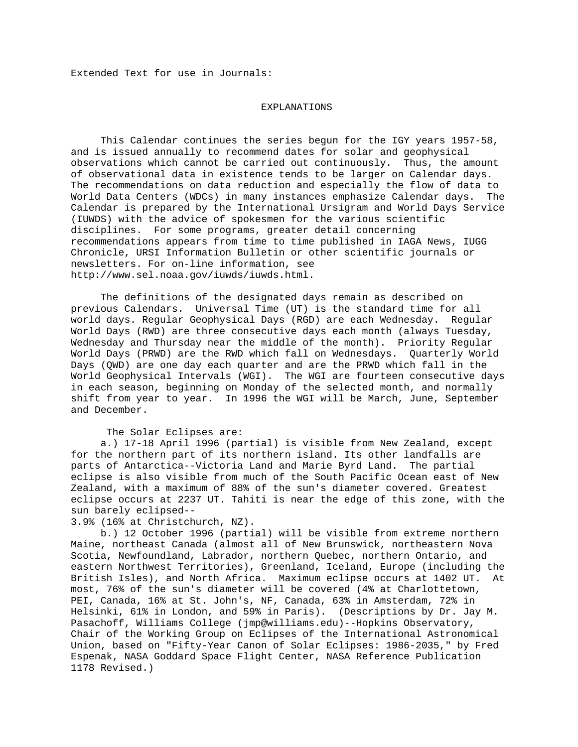Extended Text for use in Journals:

## EXPLANATIONS

 This Calendar continues the series begun for the IGY years 1957-58, and is issued annually to recommend dates for solar and geophysical observations which cannot be carried out continuously. Thus, the amount of observational data in existence tends to be larger on Calendar days. The recommendations on data reduction and especially the flow of data to World Data Centers (WDCs) in many instances emphasize Calendar days. The Calendar is prepared by the International Ursigram and World Days Service (IUWDS) with the advice of spokesmen for the various scientific disciplines. For some programs, greater detail concerning recommendations appears from time to time published in IAGA News, IUGG Chronicle, URSI Information Bulletin or other scientific journals or newsletters. For on-line information, see http://www.sel.noaa.gov/iuwds/iuwds.html.

 The definitions of the designated days remain as described on previous Calendars. Universal Time (UT) is the standard time for all world days. Regular Geophysical Days (RGD) are each Wednesday. Regular World Days (RWD) are three consecutive days each month (always Tuesday, Wednesday and Thursday near the middle of the month). Priority Regular World Days (PRWD) are the RWD which fall on Wednesdays. Quarterly World Days (QWD) are one day each quarter and are the PRWD which fall in the World Geophysical Intervals (WGI). The WGI are fourteen consecutive days in each season, beginning on Monday of the selected month, and normally shift from year to year. In 1996 the WGI will be March, June, September and December.

## The Solar Eclipses are:

 a.) 17-18 April 1996 (partial) is visible from New Zealand, except for the northern part of its northern island. Its other landfalls are parts of Antarctica--Victoria Land and Marie Byrd Land. The partial eclipse is also visible from much of the South Pacific Ocean east of New Zealand, with a maximum of 88% of the sun's diameter covered. Greatest eclipse occurs at 2237 UT. Tahiti is near the edge of this zone, with the sun barely eclipsed--

3.9% (16% at Christchurch, NZ).

 b.) 12 October 1996 (partial) will be visible from extreme northern Maine, northeast Canada (almost all of New Brunswick, northeastern Nova Scotia, Newfoundland, Labrador, northern Quebec, northern Ontario, and eastern Northwest Territories), Greenland, Iceland, Europe (including the British Isles), and North Africa. Maximum eclipse occurs at 1402 UT. At most, 76% of the sun's diameter will be covered (4% at Charlottetown, PEI, Canada, 16% at St. John's, NF, Canada, 63% in Amsterdam, 72% in Helsinki, 61% in London, and 59% in Paris). (Descriptions by Dr. Jay M. Pasachoff, Williams College (jmp@williams.edu)--Hopkins Observatory, Chair of the Working Group on Eclipses of the International Astronomical Union, based on "Fifty-Year Canon of Solar Eclipses: 1986-2035," by Fred Espenak, NASA Goddard Space Flight Center, NASA Reference Publication 1178 Revised.)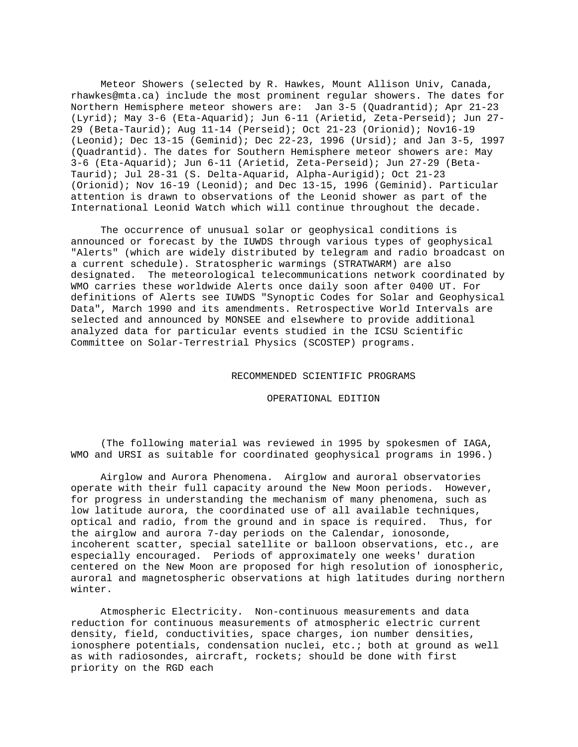Meteor Showers (selected by R. Hawkes, Mount Allison Univ, Canada, rhawkes@mta.ca) include the most prominent regular showers. The dates for Northern Hemisphere meteor showers are: Jan 3-5 (Quadrantid); Apr 21-23 (Lyrid); May 3-6 (Eta-Aquarid); Jun 6-11 (Arietid, Zeta-Perseid); Jun 27- 29 (Beta-Taurid); Aug 11-14 (Perseid); Oct 21-23 (Orionid); Nov16-19 (Leonid); Dec 13-15 (Geminid); Dec 22-23, 1996 (Ursid); and Jan 3-5, 1997 (Quadrantid). The dates for Southern Hemisphere meteor showers are: May 3-6 (Eta-Aquarid); Jun 6-11 (Arietid, Zeta-Perseid); Jun 27-29 (Beta-Taurid); Jul 28-31 (S. Delta-Aquarid, Alpha-Aurigid); Oct 21-23 (Orionid); Nov 16-19 (Leonid); and Dec 13-15, 1996 (Geminid). Particular attention is drawn to observations of the Leonid shower as part of the International Leonid Watch which will continue throughout the decade.

 The occurrence of unusual solar or geophysical conditions is announced or forecast by the IUWDS through various types of geophysical "Alerts" (which are widely distributed by telegram and radio broadcast on a current schedule). Stratospheric warmings (STRATWARM) are also designated. The meteorological telecommunications network coordinated by WMO carries these worldwide Alerts once daily soon after 0400 UT. For definitions of Alerts see IUWDS "Synoptic Codes for Solar and Geophysical Data", March 1990 and its amendments. Retrospective World Intervals are selected and announced by MONSEE and elsewhere to provide additional analyzed data for particular events studied in the ICSU Scientific Committee on Solar-Terrestrial Physics (SCOSTEP) programs.

## RECOMMENDED SCIENTIFIC PROGRAMS

## OPERATIONAL EDITION

 (The following material was reviewed in 1995 by spokesmen of IAGA, WMO and URSI as suitable for coordinated geophysical programs in 1996.)

 Airglow and Aurora Phenomena. Airglow and auroral observatories operate with their full capacity around the New Moon periods. However, for progress in understanding the mechanism of many phenomena, such as low latitude aurora, the coordinated use of all available techniques, optical and radio, from the ground and in space is required. Thus, for the airglow and aurora 7-day periods on the Calendar, ionosonde, incoherent scatter, special satellite or balloon observations, etc., are especially encouraged. Periods of approximately one weeks' duration centered on the New Moon are proposed for high resolution of ionospheric, auroral and magnetospheric observations at high latitudes during northern winter.

 Atmospheric Electricity. Non-continuous measurements and data reduction for continuous measurements of atmospheric electric current density, field, conductivities, space charges, ion number densities, ionosphere potentials, condensation nuclei, etc.; both at ground as well as with radiosondes, aircraft, rockets; should be done with first priority on the RGD each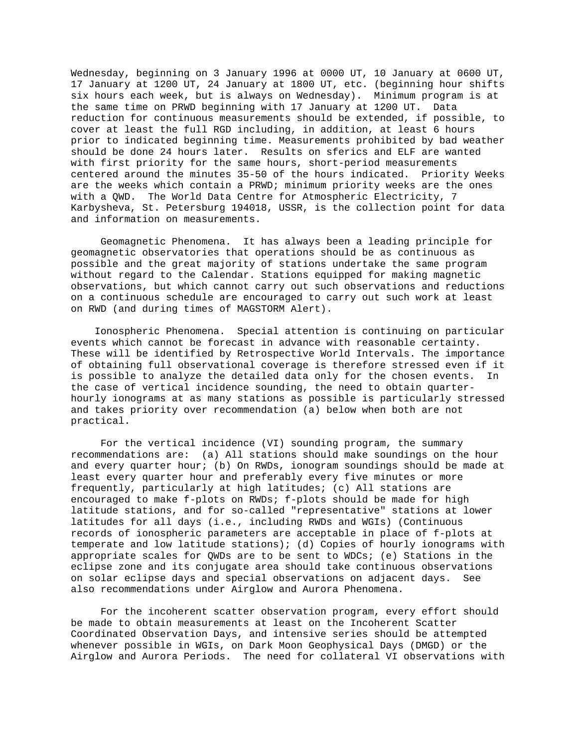Wednesday, beginning on 3 January 1996 at 0000 UT, 10 January at 0600 UT, 17 January at 1200 UT, 24 January at 1800 UT, etc. (beginning hour shifts six hours each week, but is always on Wednesday). Minimum program is at the same time on PRWD beginning with 17 January at 1200 UT. Data reduction for continuous measurements should be extended, if possible, to cover at least the full RGD including, in addition, at least 6 hours prior to indicated beginning time. Measurements prohibited by bad weather should be done 24 hours later. Results on sferics and ELF are wanted with first priority for the same hours, short-period measurements centered around the minutes 35-50 of the hours indicated. Priority Weeks are the weeks which contain a PRWD; minimum priority weeks are the ones with a QWD. The World Data Centre for Atmospheric Electricity, 7 Karbysheva, St. Petersburg 194018, USSR, is the collection point for data and information on measurements.

 Geomagnetic Phenomena. It has always been a leading principle for geomagnetic observatories that operations should be as continuous as possible and the great majority of stations undertake the same program without regard to the Calendar. Stations equipped for making magnetic observations, but which cannot carry out such observations and reductions on a continuous schedule are encouraged to carry out such work at least on RWD (and during times of MAGSTORM Alert).

 Ionospheric Phenomena. Special attention is continuing on particular events which cannot be forecast in advance with reasonable certainty. These will be identified by Retrospective World Intervals. The importance of obtaining full observational coverage is therefore stressed even if it is possible to analyze the detailed data only for the chosen events. In the case of vertical incidence sounding, the need to obtain quarterhourly ionograms at as many stations as possible is particularly stressed and takes priority over recommendation (a) below when both are not practical.

 For the vertical incidence (VI) sounding program, the summary recommendations are: (a) All stations should make soundings on the hour and every quarter hour; (b) On RWDs, ionogram soundings should be made at least every quarter hour and preferably every five minutes or more frequently, particularly at high latitudes; (c) All stations are encouraged to make f-plots on RWDs; f-plots should be made for high latitude stations, and for so-called "representative" stations at lower latitudes for all days (i.e., including RWDs and WGIs) (Continuous records of ionospheric parameters are acceptable in place of f-plots at temperate and low latitude stations); (d) Copies of hourly ionograms with appropriate scales for QWDs are to be sent to WDCs; (e) Stations in the eclipse zone and its conjugate area should take continuous observations on solar eclipse days and special observations on adjacent days. See also recommendations under Airglow and Aurora Phenomena.

 For the incoherent scatter observation program, every effort should be made to obtain measurements at least on the Incoherent Scatter Coordinated Observation Days, and intensive series should be attempted whenever possible in WGIs, on Dark Moon Geophysical Days (DMGD) or the Airglow and Aurora Periods. The need for collateral VI observations with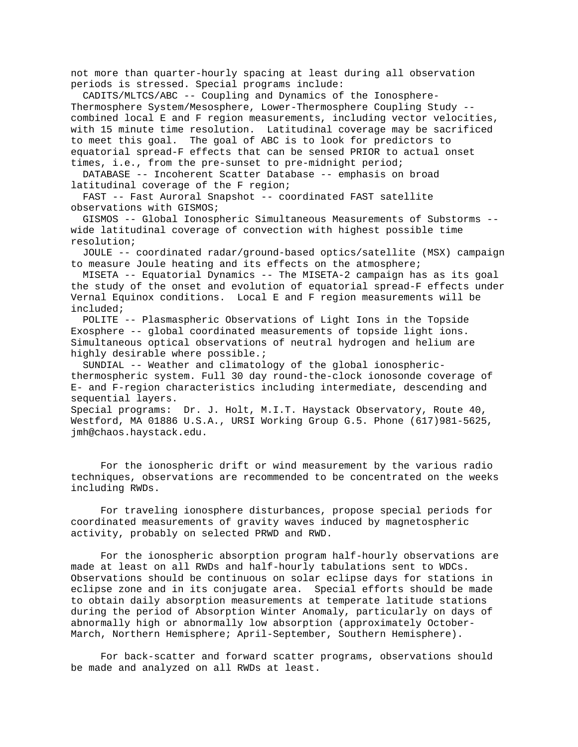not more than quarter-hourly spacing at least during all observation periods is stressed. Special programs include:

 CADITS/MLTCS/ABC -- Coupling and Dynamics of the Ionosphere-Thermosphere System/Mesosphere, Lower-Thermosphere Coupling Study - combined local E and F region measurements, including vector velocities, with 15 minute time resolution. Latitudinal coverage may be sacrificed to meet this goal. The goal of ABC is to look for predictors to equatorial spread-F effects that can be sensed PRIOR to actual onset times, i.e., from the pre-sunset to pre-midnight period;

 DATABASE -- Incoherent Scatter Database -- emphasis on broad latitudinal coverage of the F region;

 FAST -- Fast Auroral Snapshot -- coordinated FAST satellite observations with GISMOS;

 GISMOS -- Global Ionospheric Simultaneous Measurements of Substorms - wide latitudinal coverage of convection with highest possible time resolution;

 JOULE -- coordinated radar/ground-based optics/satellite (MSX) campaign to measure Joule heating and its effects on the atmosphere;

 MISETA -- Equatorial Dynamics -- The MISETA-2 campaign has as its goal the study of the onset and evolution of equatorial spread-F effects under Vernal Equinox conditions. Local E and F region measurements will be included;

 POLITE -- Plasmaspheric Observations of Light Ions in the Topside Exosphere -- global coordinated measurements of topside light ions. Simultaneous optical observations of neutral hydrogen and helium are highly desirable where possible.;

 SUNDIAL -- Weather and climatology of the global ionosphericthermospheric system. Full 30 day round-the-clock ionosonde coverage of E- and F-region characteristics including intermediate, descending and sequential layers.

Special programs: Dr. J. Holt, M.I.T. Haystack Observatory, Route 40, Westford, MA 01886 U.S.A., URSI Working Group G.5. Phone (617)981-5625, jmh@chaos.haystack.edu.

 For the ionospheric drift or wind measurement by the various radio techniques, observations are recommended to be concentrated on the weeks including RWDs.

 For traveling ionosphere disturbances, propose special periods for coordinated measurements of gravity waves induced by magnetospheric activity, probably on selected PRWD and RWD.

 For the ionospheric absorption program half-hourly observations are made at least on all RWDs and half-hourly tabulations sent to WDCs. Observations should be continuous on solar eclipse days for stations in eclipse zone and in its conjugate area. Special efforts should be made to obtain daily absorption measurements at temperate latitude stations during the period of Absorption Winter Anomaly, particularly on days of abnormally high or abnormally low absorption (approximately October-March, Northern Hemisphere; April-September, Southern Hemisphere).

 For back-scatter and forward scatter programs, observations should be made and analyzed on all RWDs at least.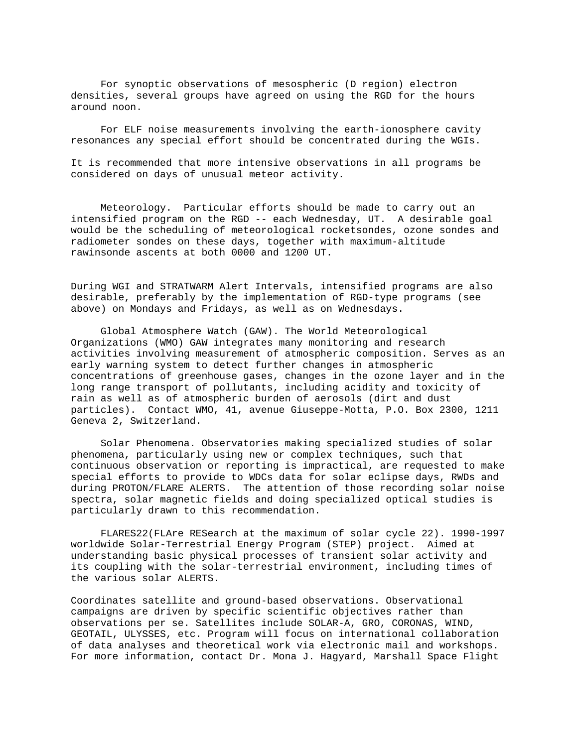For synoptic observations of mesospheric (D region) electron densities, several groups have agreed on using the RGD for the hours around noon.

 For ELF noise measurements involving the earth-ionosphere cavity resonances any special effort should be concentrated during the WGIs.

It is recommended that more intensive observations in all programs be considered on days of unusual meteor activity.

 Meteorology. Particular efforts should be made to carry out an intensified program on the RGD -- each Wednesday, UT. A desirable goal would be the scheduling of meteorological rocketsondes, ozone sondes and radiometer sondes on these days, together with maximum-altitude rawinsonde ascents at both 0000 and 1200 UT.

During WGI and STRATWARM Alert Intervals, intensified programs are also desirable, preferably by the implementation of RGD-type programs (see above) on Mondays and Fridays, as well as on Wednesdays.

 Global Atmosphere Watch (GAW). The World Meteorological Organizations (WMO) GAW integrates many monitoring and research activities involving measurement of atmospheric composition. Serves as an early warning system to detect further changes in atmospheric concentrations of greenhouse gases, changes in the ozone layer and in the long range transport of pollutants, including acidity and toxicity of rain as well as of atmospheric burden of aerosols (dirt and dust particles). Contact WMO, 41, avenue Giuseppe-Motta, P.O. Box 2300, 1211 Geneva 2, Switzerland.

 Solar Phenomena. Observatories making specialized studies of solar phenomena, particularly using new or complex techniques, such that continuous observation or reporting is impractical, are requested to make special efforts to provide to WDCs data for solar eclipse days, RWDs and during PROTON/FLARE ALERTS. The attention of those recording solar noise spectra, solar magnetic fields and doing specialized optical studies is particularly drawn to this recommendation.

 FLARES22(FLAre RESearch at the maximum of solar cycle 22). 1990-1997 worldwide Solar-Terrestrial Energy Program (STEP) project. Aimed at understanding basic physical processes of transient solar activity and its coupling with the solar-terrestrial environment, including times of the various solar ALERTS.

Coordinates satellite and ground-based observations. Observational campaigns are driven by specific scientific objectives rather than observations per se. Satellites include SOLAR-A, GRO, CORONAS, WIND, GEOTAIL, ULYSSES, etc. Program will focus on international collaboration of data analyses and theoretical work via electronic mail and workshops. For more information, contact Dr. Mona J. Hagyard, Marshall Space Flight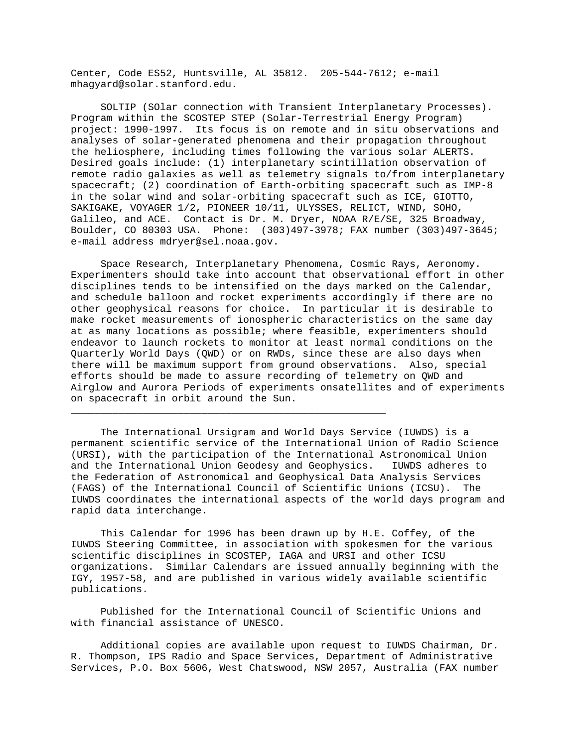Center, Code ES52, Huntsville, AL 35812. 205-544-7612; e-mail mhagyard@solar.stanford.edu.

 SOLTIP (SOlar connection with Transient Interplanetary Processes). Program within the SCOSTEP STEP (Solar-Terrestrial Energy Program) project: 1990-1997. Its focus is on remote and in situ observations and analyses of solar-generated phenomena and their propagation throughout the heliosphere, including times following the various solar ALERTS. Desired goals include: (1) interplanetary scintillation observation of remote radio galaxies as well as telemetry signals to/from interplanetary spacecraft; (2) coordination of Earth-orbiting spacecraft such as IMP-8 in the solar wind and solar-orbiting spacecraft such as ICE, GIOTTO, SAKIGAKE, VOYAGER 1/2, PIONEER 10/11, ULYSSES, RELICT, WIND, SOHO, Galileo, and ACE. Contact is Dr. M. Dryer, NOAA R/E/SE, 325 Broadway, Boulder, CO 80303 USA. Phone: (303)497-3978; FAX number (303)497-3645; e-mail address mdryer@sel.noaa.gov.

 Space Research, Interplanetary Phenomena, Cosmic Rays, Aeronomy. Experimenters should take into account that observational effort in other disciplines tends to be intensified on the days marked on the Calendar, and schedule balloon and rocket experiments accordingly if there are no other geophysical reasons for choice. In particular it is desirable to make rocket measurements of ionospheric characteristics on the same day at as many locations as possible; where feasible, experimenters should endeavor to launch rockets to monitor at least normal conditions on the Quarterly World Days (QWD) or on RWDs, since these are also days when there will be maximum support from ground observations. Also, special efforts should be made to assure recording of telemetry on QWD and Airglow and Aurora Periods of experiments onsatellites and of experiments on spacecraft in orbit around the Sun.

 The International Ursigram and World Days Service (IUWDS) is a permanent scientific service of the International Union of Radio Science (URSI), with the participation of the International Astronomical Union and the International Union Geodesy and Geophysics. IUWDS adheres to the Federation of Astronomical and Geophysical Data Analysis Services (FAGS) of the International Council of Scientific Unions (ICSU). The IUWDS coordinates the international aspects of the world days program and rapid data interchange.

\_\_\_\_\_\_\_\_\_\_\_\_\_\_\_\_\_\_\_\_\_\_\_\_\_\_\_\_\_\_\_\_\_\_\_\_\_\_\_\_\_\_\_\_\_\_\_\_\_\_\_\_\_

 This Calendar for 1996 has been drawn up by H.E. Coffey, of the IUWDS Steering Committee, in association with spokesmen for the various scientific disciplines in SCOSTEP, IAGA and URSI and other ICSU organizations. Similar Calendars are issued annually beginning with the IGY, 1957-58, and are published in various widely available scientific publications.

 Published for the International Council of Scientific Unions and with financial assistance of UNESCO.

 Additional copies are available upon request to IUWDS Chairman, Dr. R. Thompson, IPS Radio and Space Services, Department of Administrative Services, P.O. Box 5606, West Chatswood, NSW 2057, Australia (FAX number